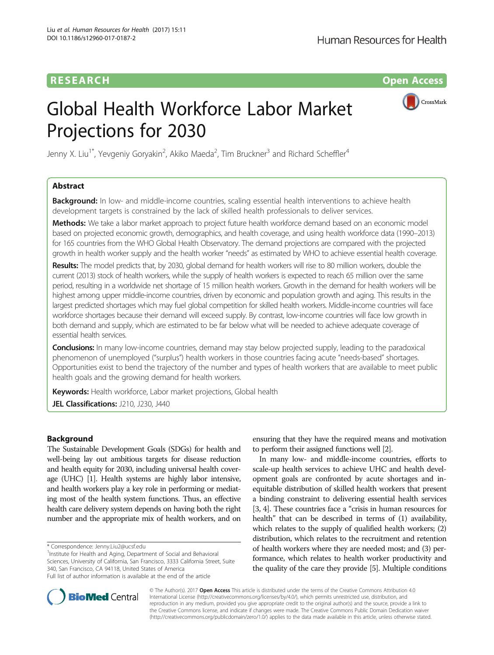## **RESEARCH CHILD CONTROL** CONTROL CONTROL CONTROL CONTROL CONTROL CONTROL CONTROL CONTROL CONTROL CONTROL CONTROL CONTROL CONTROL CONTROL CONTROL CONTROL CONTROL CONTROL CONTROL CONTROL CONTROL CONTROL CONTROL CONTROL CONTR



# Global Health Workforce Labor Market Projections for 2030

Jenny X. Liu<sup>1\*</sup>, Yevgeniy Goryakin<sup>2</sup>, Akiko Maeda<sup>2</sup>, Tim Bruckner<sup>3</sup> and Richard Scheffler<sup>4</sup>

## Abstract

**Background:** In low- and middle-income countries, scaling essential health interventions to achieve health development targets is constrained by the lack of skilled health professionals to deliver services.

Methods: We take a labor market approach to project future health workforce demand based on an economic model based on projected economic growth, demographics, and health coverage, and using health workforce data (1990–2013) for 165 countries from the WHO Global Health Observatory. The demand projections are compared with the projected growth in health worker supply and the health worker "needs" as estimated by WHO to achieve essential health coverage.

Results: The model predicts that, by 2030, global demand for health workers will rise to 80 million workers, double the current (2013) stock of health workers, while the supply of health workers is expected to reach 65 million over the same period, resulting in a worldwide net shortage of 15 million health workers. Growth in the demand for health workers will be highest among upper middle-income countries, driven by economic and population growth and aging. This results in the largest predicted shortages which may fuel global competition for skilled health workers. Middle-income countries will face workforce shortages because their demand will exceed supply. By contrast, low-income countries will face low growth in both demand and supply, which are estimated to be far below what will be needed to achieve adequate coverage of essential health services.

Conclusions: In many low-income countries, demand may stay below projected supply, leading to the paradoxical phenomenon of unemployed ("surplus") health workers in those countries facing acute "needs-based" shortages. Opportunities exist to bend the trajectory of the number and types of health workers that are available to meet public health goals and the growing demand for health workers.

Keywords: Health workforce, Labor market projections, Global health

JEL Classifications: J210, J230, J440

## Background

The Sustainable Development Goals (SDGs) for health and well-being lay out ambitious targets for disease reduction and health equity for 2030, including universal health coverage (UHC) [\[1\]](#page-11-0). Health systems are highly labor intensive, and health workers play a key role in performing or mediating most of the health system functions. Thus, an effective health care delivery system depends on having both the right number and the appropriate mix of health workers, and on

\* Correspondence: [Jenny.Liu2@ucsf.edu](mailto:Jenny.Liu2@ucsf.edu) <sup>1</sup>

<sup>1</sup>Institute for Health and Aging, Department of Social and Behavioral Sciences, University of California, San Francisco, 3333 California Street, Suite 340, San Francisco, CA 94118, United States of America Full list of author information is available at the end of the article

ensuring that they have the required means and motivation to perform their assigned functions well [\[2\]](#page-11-0).

In many low- and middle-income countries, efforts to scale-up health services to achieve UHC and health development goals are confronted by acute shortages and inequitable distribution of skilled health workers that present a binding constraint to delivering essential health services [[3](#page-11-0), [4\]](#page-11-0). These countries face a "crisis in human resources for health" that can be described in terms of (1) availability, which relates to the supply of qualified health workers; (2) distribution, which relates to the recruitment and retention of health workers where they are needed most; and (3) performance, which relates to health worker productivity and the quality of the care they provide [[5](#page-11-0)]. Multiple conditions



© The Author(s). 2017 **Open Access** This article is distributed under the terms of the Creative Commons Attribution 4.0 International License [\(http://creativecommons.org/licenses/by/4.0/](http://creativecommons.org/licenses/by/4.0/)), which permits unrestricted use, distribution, and reproduction in any medium, provided you give appropriate credit to the original author(s) and the source, provide a link to the Creative Commons license, and indicate if changes were made. The Creative Commons Public Domain Dedication waiver [\(http://creativecommons.org/publicdomain/zero/1.0/](http://creativecommons.org/publicdomain/zero/1.0/)) applies to the data made available in this article, unless otherwise stated.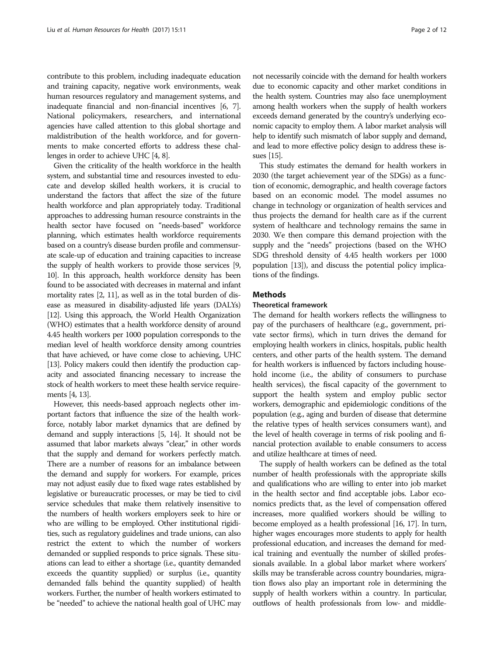contribute to this problem, including inadequate education and training capacity, negative work environments, weak human resources regulatory and management systems, and inadequate financial and non-financial incentives [\[6, 7](#page-11-0)]. National policymakers, researchers, and international agencies have called attention to this global shortage and maldistribution of the health workforce, and for governments to make concerted efforts to address these challenges in order to achieve UHC [\[4, 8\]](#page-11-0).

Given the criticality of the health workforce in the health system, and substantial time and resources invested to educate and develop skilled health workers, it is crucial to understand the factors that affect the size of the future health workforce and plan appropriately today. Traditional approaches to addressing human resource constraints in the health sector have focused on "needs-based" workforce planning, which estimates health workforce requirements based on a country's disease burden profile and commensurate scale-up of education and training capacities to increase the supply of health workers to provide those services [[9](#page-11-0), [10](#page-11-0)]. In this approach, health workforce density has been found to be associated with decreases in maternal and infant mortality rates [\[2](#page-11-0), [11\]](#page-11-0), as well as in the total burden of disease as measured in disability-adjusted life years (DALYs) [[12\]](#page-11-0). Using this approach, the World Health Organization (WHO) estimates that a health workforce density of around 4.45 health workers per 1000 population corresponds to the median level of health workforce density among countries that have achieved, or have come close to achieving, UHC [[13\]](#page-11-0). Policy makers could then identify the production capacity and associated financing necessary to increase the stock of health workers to meet these health service requirements [\[4, 13\]](#page-11-0).

However, this needs-based approach neglects other important factors that influence the size of the health workforce, notably labor market dynamics that are defined by demand and supply interactions [\[5](#page-11-0), [14\]](#page-11-0). It should not be assumed that labor markets always "clear," in other words that the supply and demand for workers perfectly match. There are a number of reasons for an imbalance between the demand and supply for workers. For example, prices may not adjust easily due to fixed wage rates established by legislative or bureaucratic processes, or may be tied to civil service schedules that make them relatively insensitive to the numbers of health workers employers seek to hire or who are willing to be employed. Other institutional rigidities, such as regulatory guidelines and trade unions, can also restrict the extent to which the number of workers demanded or supplied responds to price signals. These situations can lead to either a shortage (i.e., quantity demanded exceeds the quantity supplied) or surplus (i.e., quantity demanded falls behind the quantity supplied) of health workers. Further, the number of health workers estimated to be "needed" to achieve the national health goal of UHC may not necessarily coincide with the demand for health workers due to economic capacity and other market conditions in the health system. Countries may also face unemployment among health workers when the supply of health workers exceeds demand generated by the country's underlying economic capacity to employ them. A labor market analysis will help to identify such mismatch of labor supply and demand, and lead to more effective policy design to address these issues [[15\]](#page-11-0).

This study estimates the demand for health workers in 2030 (the target achievement year of the SDGs) as a function of economic, demographic, and health coverage factors based on an economic model. The model assumes no change in technology or organization of health services and thus projects the demand for health care as if the current system of healthcare and technology remains the same in 2030. We then compare this demand projection with the supply and the "needs" projections (based on the WHO SDG threshold density of 4.45 health workers per 1000 population [[13](#page-11-0)]), and discuss the potential policy implications of the findings.

### **Methods**

## Theoretical framework

The demand for health workers reflects the willingness to pay of the purchasers of healthcare (e.g., government, private sector firms), which in turn drives the demand for employing health workers in clinics, hospitals, public health centers, and other parts of the health system. The demand for health workers is influenced by factors including household income (i.e., the ability of consumers to purchase health services), the fiscal capacity of the government to support the health system and employ public sector workers, demographic and epidemiologic conditions of the population (e.g., aging and burden of disease that determine the relative types of health services consumers want), and the level of health coverage in terms of risk pooling and financial protection available to enable consumers to access and utilize healthcare at times of need.

The supply of health workers can be defined as the total number of health professionals with the appropriate skills and qualifications who are willing to enter into job market in the health sector and find acceptable jobs. Labor economics predicts that, as the level of compensation offered increases, more qualified workers should be willing to become employed as a health professional [[16, 17](#page-11-0)]. In turn, higher wages encourages more students to apply for health professional education, and increases the demand for medical training and eventually the number of skilled professionals available. In a global labor market where workers' skills may be transferable across country boundaries, migration flows also play an important role in determining the supply of health workers within a country. In particular, outflows of health professionals from low- and middle-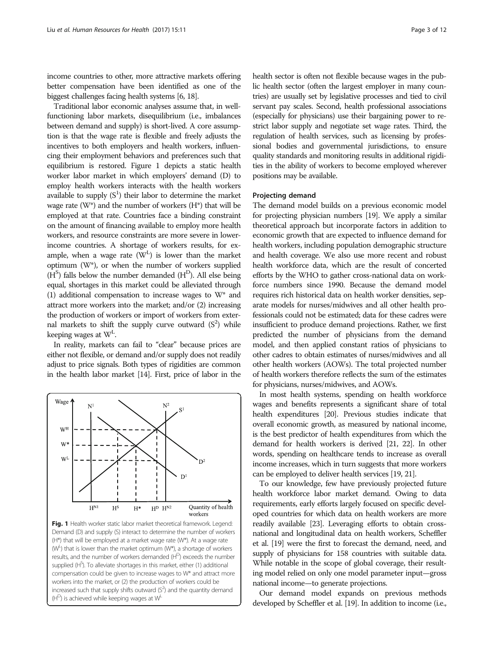income countries to other, more attractive markets offering better compensation have been identified as one of the biggest challenges facing health systems [\[6, 18\]](#page-11-0).

Traditional labor economic analyses assume that, in wellfunctioning labor markets, disequilibrium (i.e., imbalances between demand and supply) is short-lived. A core assumption is that the wage rate is flexible and freely adjusts the incentives to both employers and health workers, influencing their employment behaviors and preferences such that equilibrium is restored. Figure 1 depicts a static health worker labor market in which employers' demand (D) to employ health workers interacts with the health workers available to supply  $(S^1)$  their labor to determine the market wage rate  $(W^*)$  and the number of workers  $(H^*)$  that will be employed at that rate. Countries face a binding constraint on the amount of financing available to employ more health workers, and resource constraints are more severe in lowerincome countries. A shortage of workers results, for example, when a wage rate  $(W^{L})$  is lower than the market optimum (W\*), or when the number of workers supplied  $(H<sup>S</sup>)$  falls below the number demanded  $(H<sup>D</sup>)$ . All else being equal, shortages in this market could be alleviated through (1) additional compensation to increase wages to W\* and attract more workers into the market; and/or (2) increasing the production of workers or import of workers from external markets to shift the supply curve outward  $(S^2)$  while keeping wages at  $\mathbb{W}^{\text{L}}$ .

In reality, markets can fail to "clear" because prices are either not flexible, or demand and/or supply does not readily adjust to price signals. Both types of rigidities are common in the health labor market [[14\]](#page-11-0). First, price of labor in the



Fig. 1 Health worker static labor market theoretical framework. Legend: Demand (D) and supply (S) interact to determine the number of workers (H\*) that will be employed at a market wage rate (W\*). At a wage rate (W<sup>L</sup>) that is lower than the market optimum (W<sup>\*</sup>), a shortage of workers results, and the number of workers demanded (H<sup>D</sup>) exceeds the number supplied (H $^{\mathsf{S}}$ ). To alleviate shortages in this market, either (1) additional compensation could be given to increase wages to W\* and attract more workers into the market, or (2) the production of workers could be increased such that supply shifts outward  $(S^2)$  and the quantity demand  $(H^D)$  is achieved while keeping wages at  $W^L$ 

health sector is often not flexible because wages in the public health sector (often the largest employer in many countries) are usually set by legislative processes and tied to civil servant pay scales. Second, health professional associations (especially for physicians) use their bargaining power to restrict labor supply and negotiate set wage rates. Third, the regulation of health services, such as licensing by professional bodies and governmental jurisdictions, to ensure quality standards and monitoring results in additional rigidities in the ability of workers to become employed wherever positions may be available.

#### Projecting demand

The demand model builds on a previous economic model for projecting physician numbers [[19](#page-11-0)]. We apply a similar theoretical approach but incorporate factors in addition to economic growth that are expected to influence demand for health workers, including population demographic structure and health coverage. We also use more recent and robust health workforce data, which are the result of concerted efforts by the WHO to gather cross-national data on workforce numbers since 1990. Because the demand model requires rich historical data on health worker densities, separate models for nurses/midwives and all other health professionals could not be estimated; data for these cadres were insufficient to produce demand projections. Rather, we first predicted the number of physicians from the demand model, and then applied constant ratios of physicians to other cadres to obtain estimates of nurses/midwives and all other health workers (AOWs). The total projected number of health workers therefore reflects the sum of the estimates for physicians, nurses/midwives, and AOWs.

In most health systems, spending on health workforce wages and benefits represents a significant share of total health expenditures [[20](#page-11-0)]. Previous studies indicate that overall economic growth, as measured by national income, is the best predictor of health expenditures from which the demand for health workers is derived [\[21](#page-11-0), [22\]](#page-11-0). In other words, spending on healthcare tends to increase as overall income increases, which in turn suggests that more workers can be employed to deliver health services [\[19](#page-11-0), [21](#page-11-0)].

To our knowledge, few have previously projected future health workforce labor market demand. Owing to data requirements, early efforts largely focused on specific developed countries for which data on health workers are more readily available [\[23\]](#page-11-0). Leveraging efforts to obtain crossnational and longitudinal data on health workers, Scheffler et al. [\[19\]](#page-11-0) were the first to forecast the demand, need, and supply of physicians for 158 countries with suitable data. While notable in the scope of global coverage, their resulting model relied on only one model parameter input—gross national income—to generate projections.

Our demand model expands on previous methods developed by Scheffler et al. [[19\]](#page-11-0). In addition to income (i.e.,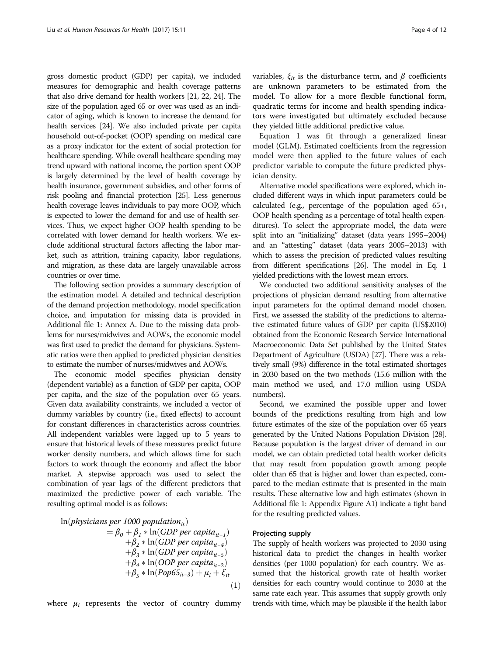gross domestic product (GDP) per capita), we included measures for demographic and health coverage patterns that also drive demand for health workers [\[21, 22](#page-11-0), [24\]](#page-11-0). The size of the population aged 65 or over was used as an indicator of aging, which is known to increase the demand for health services [\[24\]](#page-11-0). We also included private per capita household out-of-pocket (OOP) spending on medical care as a proxy indicator for the extent of social protection for healthcare spending. While overall healthcare spending may trend upward with national income, the portion spent OOP is largely determined by the level of health coverage by health insurance, government subsidies, and other forms of risk pooling and financial protection [[25\]](#page-11-0). Less generous health coverage leaves individuals to pay more OOP, which is expected to lower the demand for and use of health services. Thus, we expect higher OOP health spending to be correlated with lower demand for health workers. We exclude additional structural factors affecting the labor market, such as attrition, training capacity, labor regulations, and migration, as these data are largely unavailable across countries or over time.

The following section provides a summary description of the estimation model. A detailed and technical description of the demand projection methodology, model specification choice, and imputation for missing data is provided in Additional file [1](#page-10-0): Annex A. Due to the missing data problems for nurses/midwives and AOWs, the economic model was first used to predict the demand for physicians. Systematic ratios were then applied to predicted physician densities to estimate the number of nurses/midwives and AOWs.

The economic model specifies physician density (dependent variable) as a function of GDP per capita, OOP per capita, and the size of the population over 65 years. Given data availability constraints, we included a vector of dummy variables by country (i.e., fixed effects) to account for constant differences in characteristics across countries. All independent variables were lagged up to 5 years to ensure that historical levels of these measures predict future worker density numbers, and which allows time for such factors to work through the economy and affect the labor market. A stepwise approach was used to select the combination of year lags of the different predictors that maximized the predictive power of each variable. The resulting optimal model is as follows:

$$
\ln(\text{physics per } 1000 \text{ population}_{it})
$$
\n
$$
= \beta_0 + \beta_1 * \ln(\text{GDP per } \text{capital}_{it-1})
$$
\n
$$
+ \beta_2 * \ln(\text{GDP per } \text{capital}_{it-4})
$$
\n
$$
+ \beta_3 * \ln(\text{GDP per } \text{capital}_{it-5})
$$
\n
$$
+ \beta_4 * \ln(\text{OOP per } \text{capital}_{it-2})
$$
\n
$$
+ \beta_5 * \ln(\text{Pop65}_{it-3}) + \mu_i + \xi_{it}
$$
\n(1)

where  $\mu_i$  represents the vector of country dummy

variables,  $\xi_{it}$  is the disturbance term, and  $\beta$  coefficients are unknown parameters to be estimated from the model. To allow for a more flexible functional form, quadratic terms for income and health spending indicators were investigated but ultimately excluded because they yielded little additional predictive value.

Equation 1 was fit through a generalized linear model (GLM). Estimated coefficients from the regression model were then applied to the future values of each predictor variable to compute the future predicted physician density.

Alternative model specifications were explored, which included different ways in which input parameters could be calculated (e.g., percentage of the population aged 65+, OOP health spending as a percentage of total health expenditures). To select the appropriate model, the data were split into an "initializing" dataset (data years 1995–2004) and an "attesting" dataset (data years 2005–2013) with which to assess the precision of predicted values resulting from different specifications [[26](#page-11-0)]. The model in Eq. 1 yielded predictions with the lowest mean errors.

We conducted two additional sensitivity analyses of the projections of physician demand resulting from alternative input parameters for the optimal demand model chosen. First, we assessed the stability of the predictions to alternative estimated future values of GDP per capita (US\$2010) obtained from the Economic Research Service International Macroeconomic Data Set published by the United States Department of Agriculture (USDA) [\[27\]](#page-11-0). There was a relatively small (9%) difference in the total estimated shortages in 2030 based on the two methods (15.6 million with the main method we used, and 17.0 million using USDA numbers).

Second, we examined the possible upper and lower bounds of the predictions resulting from high and low future estimates of the size of the population over 65 years generated by the United Nations Population Division [\[28](#page-11-0)]. Because population is the largest driver of demand in our model, we can obtain predicted total health worker deficits that may result from population growth among people older than 65 that is higher and lower than expected, compared to the median estimate that is presented in the main results. These alternative low and high estimates (shown in Additional file [1:](#page-10-0) Appendix Figure A1) indicate a tight band for the resulting predicted values.

## Projecting supply

The supply of health workers was projected to 2030 using historical data to predict the changes in health worker densities (per 1000 population) for each country. We assumed that the historical growth rate of health worker densities for each country would continue to 2030 at the same rate each year. This assumes that supply growth only trends with time, which may be plausible if the health labor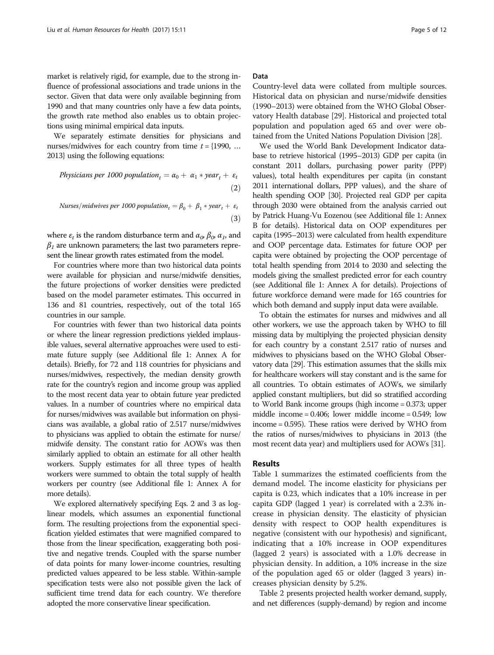market is relatively rigid, for example, due to the strong influence of professional associations and trade unions in the sector. Given that data were only available beginning from 1990 and that many countries only have a few data points, the growth rate method also enables us to obtain projections using minimal empirical data inputs.

We separately estimate densities for physicians and nurses/midwives for each country from time  $t = \{1990, \ldots\}$ 2013} using the following equations:

*Physicsians per 1000 population<sub>t</sub>* = 
$$
\alpha_0 + \alpha_1 * year_t + \varepsilon_t
$$
 (2)

Nurses/midwives per 1000 population<sub>t</sub> = 
$$
\beta_0 + \beta_1 * year_t + \varepsilon_t
$$
 (3)

where  $\varepsilon_t$  is the random disturbance term and  $\alpha_0$ ,  $\beta_0$ ,  $\alpha_1$ , and  $\beta_1$  are unknown parameters; the last two parameters represent the linear growth rates estimated from the model.

For countries where more than two historical data points were available for physician and nurse/midwife densities, the future projections of worker densities were predicted based on the model parameter estimates. This occurred in 136 and 81 countries, respectively, out of the total 165 countries in our sample.

For countries with fewer than two historical data points or where the linear regression predictions yielded implausible values, several alternative approaches were used to estimate future supply (see Additional file [1:](#page-10-0) Annex A for details). Briefly, for 72 and 118 countries for physicians and nurses/midwives, respectively, the median density growth rate for the country's region and income group was applied to the most recent data year to obtain future year predicted values. In a number of countries where no empirical data for nurses/midwives was available but information on physicians was available, a global ratio of 2.517 nurse/midwives to physicians was applied to obtain the estimate for nurse/ midwife density. The constant ratio for AOWs was then similarly applied to obtain an estimate for all other health workers. Supply estimates for all three types of health workers were summed to obtain the total supply of health workers per country (see Additional file [1:](#page-10-0) Annex A for more details).

We explored alternatively specifying Eqs. 2 and 3 as loglinear models, which assumes an exponential functional form. The resulting projections from the exponential specification yielded estimates that were magnified compared to those from the linear specification, exaggerating both positive and negative trends. Coupled with the sparse number of data points for many lower-income countries, resulting predicted values appeared to be less stable. Within-sample specification tests were also not possible given the lack of sufficient time trend data for each country. We therefore adopted the more conservative linear specification.

## Data

Country-level data were collated from multiple sources. Historical data on physician and nurse/midwife densities (1990–2013) were obtained from the WHO Global Observatory Health database [[29](#page-11-0)]. Historical and projected total population and population aged 65 and over were obtained from the United Nations Population Division [\[28\]](#page-11-0).

We used the World Bank Development Indicator database to retrieve historical (1995–2013) GDP per capita (in constant 2011 dollars, purchasing power parity (PPP) values), total health expenditures per capita (in constant 2011 international dollars, PPP values), and the share of health spending OOP [[30](#page-11-0)]. Projected real GDP per capita through 2030 were obtained from the analysis carried out by Patrick Huang-Vu Eozenou (see Additional file [1:](#page-10-0) Annex B for details). Historical data on OOP expenditures per capita (1995–2013) were calculated from health expenditure and OOP percentage data. Estimates for future OOP per capita were obtained by projecting the OOP percentage of total health spending from 2014 to 2030 and selecting the models giving the smallest predicted error for each country (see Additional file [1:](#page-10-0) Annex A for details). Projections of future workforce demand were made for 165 countries for which both demand and supply input data were available.

To obtain the estimates for nurses and midwives and all other workers, we use the approach taken by WHO to fill missing data by multiplying the projected physician density for each country by a constant 2.517 ratio of nurses and midwives to physicians based on the WHO Global Observatory data [\[29\]](#page-11-0). This estimation assumes that the skills mix for healthcare workers will stay constant and is the same for all countries. To obtain estimates of AOWs, we similarly applied constant multipliers, but did so stratified according to World Bank income groups (high income = 0.373; upper middle income = 0.406; lower middle income = 0.549; low income = 0.595). These ratios were derived by WHO from the ratios of nurses/midwives to physicians in 2013 (the most recent data year) and multipliers used for AOWs [[31\]](#page-11-0).

## Results

Table [1](#page-5-0) summarizes the estimated coefficients from the demand model. The income elasticity for physicians per capita is 0.23, which indicates that a 10% increase in per capita GDP (lagged 1 year) is correlated with a 2.3% increase in physician density. The elasticity of physician density with respect to OOP health expenditures is negative (consistent with our hypothesis) and significant, indicating that a 10% increase in OOP expenditures (lagged 2 years) is associated with a 1.0% decrease in physician density. In addition, a 10% increase in the size of the population aged 65 or older (lagged 3 years) increases physician density by 5.2%.

Table [2](#page-6-0) presents projected health worker demand, supply, and net differences (supply-demand) by region and income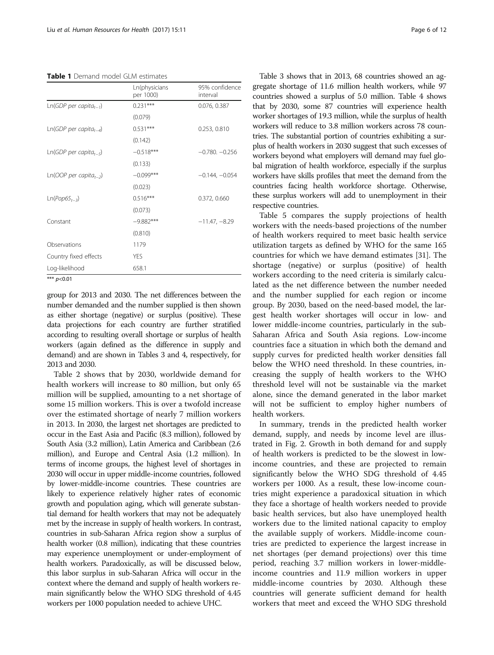#### <span id="page-5-0"></span>Table 1 Demand model GLM estimates

|                                      | Ln(physicians<br>per 1000) | 95% confidence<br>interval |
|--------------------------------------|----------------------------|----------------------------|
| $Ln(GDP$ per capita <sub>t-1</sub> ) | $0.231***$                 | 0.076, 0.387               |
|                                      | (0.079)                    |                            |
| $Ln(GDP per capita_{t-4})$           | $0.531***$                 | 0.253, 0.810               |
|                                      | (0.142)                    |                            |
| $Ln(GDP$ per capita <sub>t-5</sub> ) | $-0.518***$                | $-0.780$ . $-0.256$        |
|                                      | (0.133)                    |                            |
| $Ln(OOP$ per capita <sub>t-2</sub> ) | $-0.099***$                | $-0.144, -0.054$           |
|                                      | (0.023)                    |                            |
| $Ln(Pop65t-3)$                       | $0.516***$                 | 0.372, 0.660               |
|                                      | (0.073)                    |                            |
| Constant                             | $-9.882***$                | $-11.47, -8.29$            |
|                                      | (0.810)                    |                            |
| Observations                         | 1179                       |                            |
| Country fixed effects                | <b>YES</b>                 |                            |
| Log-likelihood                       | 658.1                      |                            |
| *** $p<0.01$                         |                            |                            |

group for 2013 and 2030. The net differences between the number demanded and the number supplied is then shown as either shortage (negative) or surplus (positive). These data projections for each country are further stratified according to resulting overall shortage or surplus of health workers (again defined as the difference in supply and demand) and are shown in Tables [3](#page-7-0) and [4](#page-8-0), respectively, for 2013 and 2030.

Table [2](#page-6-0) shows that by 2030, worldwide demand for health workers will increase to 80 million, but only 65 million will be supplied, amounting to a net shortage of some 15 million workers. This is over a twofold increase over the estimated shortage of nearly 7 million workers in 2013. In 2030, the largest net shortages are predicted to occur in the East Asia and Pacific (8.3 million), followed by South Asia (3.2 million), Latin America and Caribbean (2.6 million), and Europe and Central Asia (1.2 million). In terms of income groups, the highest level of shortages in 2030 will occur in upper middle-income countries, followed by lower-middle-income countries. These countries are likely to experience relatively higher rates of economic growth and population aging, which will generate substantial demand for health workers that may not be adequately met by the increase in supply of health workers. In contrast, countries in sub-Saharan Africa region show a surplus of health worker (0.8 million), indicating that these countries may experience unemployment or under-employment of health workers. Paradoxically, as will be discussed below, this labor surplus in sub-Saharan Africa will occur in the context where the demand and supply of health workers remain significantly below the WHO SDG threshold of 4.45 workers per 1000 population needed to achieve UHC.

Table [3](#page-7-0) shows that in 2013, 68 countries showed an aggregate shortage of 11.6 million health workers, while 97 countries showed a surplus of 5.0 million. Table [4](#page-8-0) shows that by 2030, some 87 countries will experience health worker shortages of 19.3 million, while the surplus of health workers will reduce to 3.8 million workers across 78 countries. The substantial portion of countries exhibiting a surplus of health workers in 2030 suggest that such excesses of workers beyond what employers will demand may fuel global migration of health workforce, especially if the surplus workers have skills profiles that meet the demand from the countries facing health workforce shortage. Otherwise, these surplus workers will add to unemployment in their respective countries.

Table [5](#page-9-0) compares the supply projections of health workers with the needs-based projections of the number of health workers required to meet basic health service utilization targets as defined by WHO for the same 165 countries for which we have demand estimates [\[31\]](#page-11-0). The shortage (negative) or surplus (positive) of health workers according to the need criteria is similarly calculated as the net difference between the number needed and the number supplied for each region or income group. By 2030, based on the need-based model, the largest health worker shortages will occur in low- and lower middle-income countries, particularly in the sub-Saharan Africa and South Asia regions. Low-income countries face a situation in which both the demand and supply curves for predicted health worker densities fall below the WHO need threshold. In these countries, increasing the supply of health workers to the WHO threshold level will not be sustainable via the market alone, since the demand generated in the labor market will not be sufficient to employ higher numbers of health workers.

In summary, trends in the predicted health worker demand, supply, and needs by income level are illustrated in Fig. [2.](#page-10-0) Growth in both demand for and supply of health workers is predicted to be the slowest in lowincome countries, and these are projected to remain significantly below the WHO SDG threshold of 4.45 workers per 1000. As a result, these low-income countries might experience a paradoxical situation in which they face a shortage of health workers needed to provide basic health services, but also have unemployed health workers due to the limited national capacity to employ the available supply of workers. Middle-income countries are predicted to experience the largest increase in net shortages (per demand projections) over this time period, reaching 3.7 million workers in lower-middleincome countries and 11.9 million workers in upper middle-income countries by 2030. Although these countries will generate sufficient demand for health workers that meet and exceed the WHO SDG threshold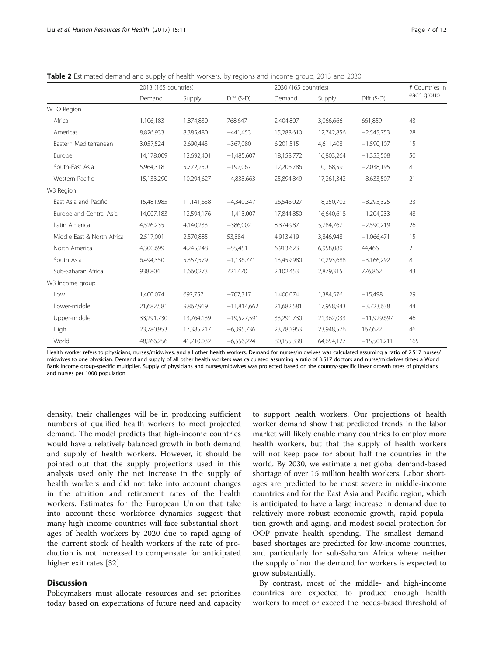|                            | 2013 (165 countries) |            |               | 2030 (165 countries) | # Countries in |               |                |
|----------------------------|----------------------|------------|---------------|----------------------|----------------|---------------|----------------|
|                            | Demand               | Supply     | Diff (S-D)    | Demand               | Supply         | Diff (S-D)    | each group     |
| WHO Region                 |                      |            |               |                      |                |               |                |
| Africa                     | 1,106,183            | 1,874,830  | 768,647       | 2,404,807            | 3,066,666      | 661,859       | 43             |
| Americas                   | 8,826,933            | 8,385,480  | $-441,453$    | 15,288,610           | 12,742,856     | $-2,545,753$  | 28             |
| Eastern Mediterranean      | 3,057,524            | 2,690,443  | $-367,080$    | 6,201,515            | 4,611,408      | $-1,590,107$  | 15             |
| Europe                     | 14,178,009           | 12,692,401 | $-1,485,607$  | 18,158,772           | 16,803,264     | $-1,355,508$  | 50             |
| South-East Asia            | 5,964,318            | 5,772,250  | $-192,067$    | 12,206,786           | 10,168,591     | $-2,038,195$  | 8              |
| Western Pacific            | 15,133,290           | 10,294,627 | $-4,838,663$  | 25,894,849           | 17,261,342     | $-8,633,507$  | 21             |
| <b>WB Region</b>           |                      |            |               |                      |                |               |                |
| East Asia and Pacific      | 15,481,985           | 11,141,638 | $-4,340,347$  | 26,546,027           | 18,250,702     | $-8,295,325$  | 23             |
| Europe and Central Asia    | 14,007,183           | 12,594,176 | $-1,413,007$  | 17,844,850           | 16,640,618     | $-1,204,233$  | 48             |
| Latin America              | 4,526,235            | 4,140,233  | $-386,002$    | 8,374,987            | 5,784,767      | $-2,590,219$  | 26             |
| Middle East & North Africa | 2,517,001            | 2,570,885  | 53,884        | 4,913,419            | 3,846,948      | $-1,066,471$  | 15             |
| North America              | 4,300,699            | 4,245,248  | $-55,451$     | 6,913,623            | 6,958,089      | 44,466        | $\overline{2}$ |
| South Asia                 | 6,494,350            | 5,357,579  | $-1,136,771$  | 13,459,980           | 10,293,688     | $-3,166,292$  | 8              |
| Sub-Saharan Africa         | 938,804              | 1,660,273  | 721,470       | 2,102,453            | 2,879,315      | 776,862       | 43             |
| WB Income group            |                      |            |               |                      |                |               |                |
| Low                        | 1,400,074            | 692,757    | $-707,317$    | 1,400,074            | 1,384,576      | $-15,498$     | 29             |
| Lower-middle               | 21,682,581           | 9,867,919  | $-11,814,662$ | 21,682,581           | 17,958,943     | $-3,723,638$  | 44             |
| Upper-middle               | 33,291,730           | 13,764,139 | $-19,527,591$ | 33,291,730           | 21,362,033     | $-11,929,697$ | 46             |
| High                       | 23,780,953           | 17,385,217 | $-6,395,736$  | 23,780,953           | 23,948,576     | 167,622       | 46             |
| World                      | 48,266,256           | 41,710,032 | $-6,556,224$  | 80,155,338           | 64,654,127     | $-15,501,211$ | 165            |

<span id="page-6-0"></span>Table 2 Estimated demand and supply of health workers, by regions and income group, 2013 and 2030

Health worker refers to physicians, nurses/midwives, and all other health workers. Demand for nurses/midwives was calculated assuming a ratio of 2.517 nurses/ midwives to one physician. Demand and supply of all other health workers was calculated assuming a ratio of 3.517 doctors and nurse/midwives times a World Bank income group-specific multiplier. Supply of physicians and nurses/midwives was projected based on the country-specific linear growth rates of physicians and nurses per 1000 population

density, their challenges will be in producing sufficient numbers of qualified health workers to meet projected demand. The model predicts that high-income countries would have a relatively balanced growth in both demand and supply of health workers. However, it should be pointed out that the supply projections used in this analysis used only the net increase in the supply of health workers and did not take into account changes in the attrition and retirement rates of the health workers. Estimates for the European Union that take into account these workforce dynamics suggest that many high-income countries will face substantial shortages of health workers by 2020 due to rapid aging of the current stock of health workers if the rate of production is not increased to compensate for anticipated higher exit rates [\[32](#page-11-0)].

## **Discussion**

Policymakers must allocate resources and set priorities today based on expectations of future need and capacity

to support health workers. Our projections of health worker demand show that predicted trends in the labor market will likely enable many countries to employ more health workers, but that the supply of health workers will not keep pace for about half the countries in the world. By 2030, we estimate a net global demand-based shortage of over 15 million health workers. Labor shortages are predicted to be most severe in middle-income countries and for the East Asia and Pacific region, which is anticipated to have a large increase in demand due to relatively more robust economic growth, rapid population growth and aging, and modest social protection for OOP private health spending. The smallest demandbased shortages are predicted for low-income countries, and particularly for sub-Saharan Africa where neither the supply of nor the demand for workers is expected to grow substantially.

By contrast, most of the middle- and high-income countries are expected to produce enough health workers to meet or exceed the needs-based threshold of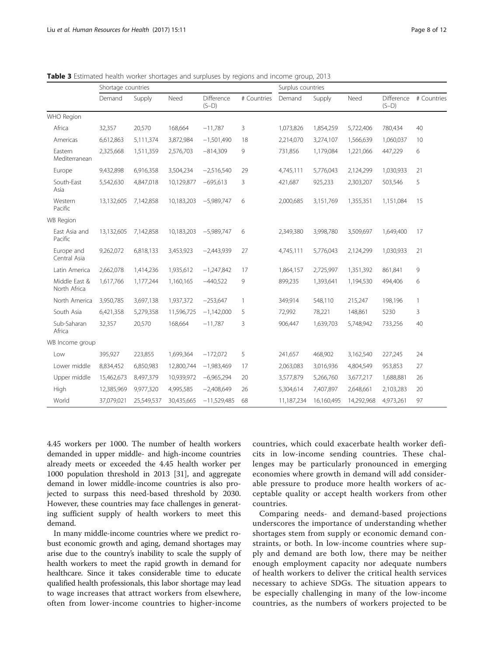<span id="page-7-0"></span>

| Table 3 Estimated health worker shortages and surpluses by regions and income group, 2013 |  |  |  |  |  |  |
|-------------------------------------------------------------------------------------------|--|--|--|--|--|--|
|                                                                                           |  |  |  |  |  |  |

|                               | Shortage countries |            |            |                       |             |            | Surplus countries |            |                       |              |  |
|-------------------------------|--------------------|------------|------------|-----------------------|-------------|------------|-------------------|------------|-----------------------|--------------|--|
|                               | Demand             | Supply     | Need       | Difference<br>$(S-D)$ | # Countries | Demand     | Supply            | Need       | Difference<br>$(S-D)$ | # Countries  |  |
| WHO Region                    |                    |            |            |                       |             |            |                   |            |                       |              |  |
| Africa                        | 32,357             | 20,570     | 168,664    | $-11,787$             | 3           | 1,073,826  | 1,854,259         | 5,722,406  | 780,434               | 40           |  |
| Americas                      | 6,612,863          | 5,111,374  | 3,872,984  | $-1,501,490$          | 18          | 2,214,070  | 3,274,107         | 1,566,639  | 1,060,037             | 10           |  |
| Eastern<br>Mediterranean      | 2,325,668          | 1,511,359  | 2,576,703  | $-814,309$            | 9           | 731,856    | 1,179,084         | 1,221,066  | 447,229               | 6            |  |
| Europe                        | 9,432,898          | 6,916,358  | 3,504,234  | $-2,516,540$          | 29          | 4,745,111  | 5,776,043         | 2,124,299  | 1,030,933             | 21           |  |
| South-East<br>Asia            | 5,542,630          | 4,847,018  | 10,129,877 | $-695,613$            | 3           | 421,687    | 925,233           | 2,303,207  | 503,546               | 5            |  |
| Western<br>Pacific            | 13,132,605         | 7,142,858  | 10,183,203 | $-5,989,747$          | 6           | 2,000,685  | 3,151,769         | 1,355,351  | 1,151,084             | 15           |  |
| <b>WB Region</b>              |                    |            |            |                       |             |            |                   |            |                       |              |  |
| East Asia and<br>Pacific      | 13,132,605         | 7,142,858  | 10,183,203 | $-5,989,747$          | 6           | 2,349,380  | 3,998,780         | 3,509,697  | 1,649,400             | 17           |  |
| Europe and<br>Central Asia    | 9,262,072          | 6,818,133  | 3,453,923  | $-2,443,939$          | 27          | 4,745,111  | 5,776,043         | 2,124,299  | 1,030,933             | 21           |  |
| Latin America                 | 2,662,078          | 1,414,236  | 1,935,612  | $-1,247,842$          | 17          | 1,864,157  | 2,725,997         | 1,351,392  | 861,841               | 9            |  |
| Middle East &<br>North Africa | 1,617,766          | 1,177,244  | 1,160,165  | $-440,522$            | 9           | 899,235    | 1,393,641         | 1,194,530  | 494,406               | 6            |  |
| North America                 | 3,950,785          | 3,697,138  | 1,937,372  | $-253,647$            | 1           | 349,914    | 548,110           | 215,247    | 198,196               | $\mathbf{1}$ |  |
| South Asia                    | 6,421,358          | 5,279,358  | 11,596,725 | $-1,142,000$          | 5           | 72,992     | 78,221            | 148,861    | 5230                  | 3            |  |
| Sub-Saharan<br>Africa         | 32,357             | 20,570     | 168,664    | $-11,787$             | 3           | 906,447    | 1,639,703         | 5,748,942  | 733,256               | 40           |  |
| WB Income group               |                    |            |            |                       |             |            |                   |            |                       |              |  |
| Low                           | 395,927            | 223,855    | 1,699,364  | $-172,072$            | 5           | 241,657    | 468,902           | 3,162,540  | 227,245               | 24           |  |
| Lower middle                  | 8,834,452          | 6,850,983  | 12,800,744 | $-1,983,469$          | 17          | 2,063,083  | 3,016,936         | 4,804,549  | 953,853               | 27           |  |
| Upper middle                  | 15,462,673         | 8,497,379  | 10,939,972 | $-6,965,294$          | 20          | 3,577,879  | 5,266,760         | 3,677,217  | 1,688,881             | 26           |  |
| High                          | 12,385,969         | 9,977,320  | 4,995,585  | $-2,408,649$          | 26          | 5,304,614  | 7,407,897         | 2,648,661  | 2,103,283             | 20           |  |
| World                         | 37,079,021         | 25,549,537 | 30,435,665 | $-11,529,485$         | 68          | 11,187,234 | 16,160,495        | 14,292,968 | 4,973,261             | 97           |  |

4.45 workers per 1000. The number of health workers demanded in upper middle- and high-income countries already meets or exceeded the 4.45 health worker per 1000 population threshold in 2013 [[31](#page-11-0)], and aggregate demand in lower middle-income countries is also projected to surpass this need-based threshold by 2030. However, these countries may face challenges in generating sufficient supply of health workers to meet this demand.

In many middle-income countries where we predict robust economic growth and aging, demand shortages may arise due to the country's inability to scale the supply of health workers to meet the rapid growth in demand for healthcare. Since it takes considerable time to educate qualified health professionals, this labor shortage may lead to wage increases that attract workers from elsewhere, often from lower-income countries to higher-income

countries, which could exacerbate health worker deficits in low-income sending countries. These challenges may be particularly pronounced in emerging economies where growth in demand will add considerable pressure to produce more health workers of acceptable quality or accept health workers from other countries.

Comparing needs- and demand-based projections underscores the importance of understanding whether shortages stem from supply or economic demand constraints, or both. In low-income countries where supply and demand are both low, there may be neither enough employment capacity nor adequate numbers of health workers to deliver the critical health services necessary to achieve SDGs. The situation appears to be especially challenging in many of the low-income countries, as the numbers of workers projected to be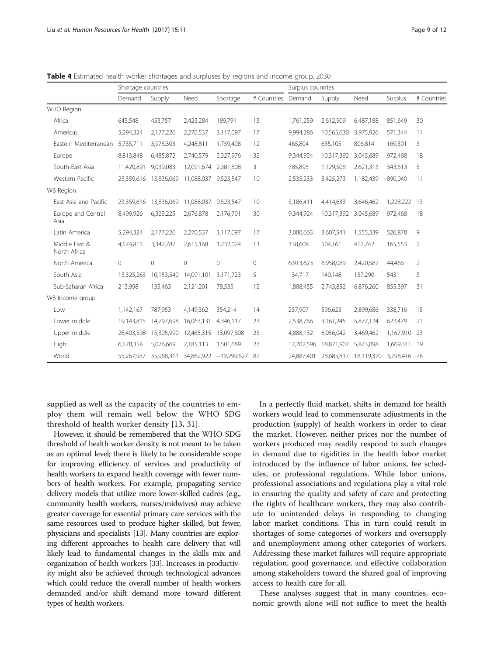|                               | Shortage countries |            |            | Surplus countries |              |            |            |                       |              |                |
|-------------------------------|--------------------|------------|------------|-------------------|--------------|------------|------------|-----------------------|--------------|----------------|
|                               | Demand             | Supply     | Need       | Shortage          | # Countries  | Demand     | Supply     | Need                  | Surplus      | # Countries    |
| <b>WHO Region</b>             |                    |            |            |                   |              |            |            |                       |              |                |
| Africa                        | 643,548            | 453,757    | 2,423,284  | 189,791           | 13           | 1,761,259  | 2,612,909  | 6,487,188             | 851,649      | 30             |
| Americas                      | 5,294,324          | 2,177,226  | 2,270,537  | 3,117,097         | 17           | 9,994,286  | 10,565,630 | 3,975,926             | 571,344      | 11             |
| Eastern Mediterranean         | 5,735,711          | 3,976,303  | 4,248,811  | 1,759,408         | 12           | 465,804    | 635,105    | 806,814               | 169,301      | 3              |
| Europe                        | 8,813,848          | 6,485,872  | 2,740,579  | 2,327,976         | 32           | 9,344,924  | 10,317,392 | 3,045,689             | 972,468      | 18             |
| South-East Asia               | 11,420,891         | 9,039,083  | 12,091,674 | 2,381,808         | 3            | 785,895    | 1,129,508  | 2,621,313             | 343,613      | 5              |
| Western Pacific               | 23,359,616         | 13,836,069 | 11,088,037 | 9,523,547         | 10           | 2,535,233  | 3,425,273  | 1,182,439             | 890,040      | 11             |
| <b>WB Region</b>              |                    |            |            |                   |              |            |            |                       |              |                |
| East Asia and Pacific         | 23,359,616         | 13,836,069 | 11,088,037 | 9,523,547         | 10           | 3,186,411  | 4,414,633  | 3,646,462             | 1,228,222    | -13            |
| Europe and Central<br>Asia    | 8,499,926          | 6,323,225  | 2,676,878  | 2,176,701         | 30           | 9,344,924  | 10,317,392 | 3,045,689             | 972,468      | 18             |
| Latin America                 | 5,294,324          | 2,177,226  | 2,270,537  | 3,117,097         | 17           | 3,080,663  | 3,607,541  | 1,555,339             | 526,878      | 9              |
| Middle East &<br>North Africa | 4,574,811          | 3,342,787  | 2,615,168  | 1,232,024         | 13           | 338,608    | 504,161    | 417,742               | 165,553      | 2              |
| North America                 | $\mathbf{0}$       | $\Omega$   | $\Omega$   | $\mathbf 0$       | $\mathbf{0}$ | 6,913,623  | 6,958,089  | 2,420,587             | 44,466       | $\overline{2}$ |
| South Asia                    | 13,325,263         | 10.153.540 | 14,091,101 | 3,171,723         | 5            | 134,717    | 140.148    | 157,290               | 5431         | 3              |
| Sub-Saharan Africa            | 213,998            | 135,463    | 2,121,201  | 78,535            | 12           | 1,888,455  | 2,743,852  | 6,876,260             | 855,397      | 31             |
| WB Income group               |                    |            |            |                   |              |            |            |                       |              |                |
| Low                           | 1,142,167          | 787,953    | 4,149,362  | 354,214           | 14           | 257,907    | 596,623    | 2,899,686             | 338,716      | 15             |
| Lower middle                  | 19,143,815         | 14,797,698 | 16,063,131 | 4,346,117         | 23           | 2,538,766  | 3,161,245  | 5,877,124             | 622,479      | 21             |
| Upper middle                  | 28,403,598         | 15,305,990 | 12,465,315 | 13.097.608        | 23           | 4,888,132  | 6,056,042  | 3,469,462             | 1,167,910    | 23             |
| High                          | 6,578,358          | 5,076,669  | 2,185,113  | 1,501,689         | 27           | 17,202,596 | 18,871,907 | 5,873,098             | 1,669,311    | -19            |
| World                         | 55,267,937         | 35,968,311 | 34,862,922 | $-19,299,627$     | 87           | 24,887,401 |            | 28,685,817 18,119,370 | 3.798.416 78 |                |

<span id="page-8-0"></span>Table 4 Estimated health worker shortages and surpluses by regions and income group, 2030

supplied as well as the capacity of the countries to employ them will remain well below the WHO SDG threshold of health worker density [[13](#page-11-0), [31\]](#page-11-0).

However, it should be remembered that the WHO SDG threshold of health worker density is not meant to be taken as an optimal level; there is likely to be considerable scope for improving efficiency of services and productivity of health workers to expand health coverage with fewer numbers of health workers. For example, propagating service delivery models that utilize more lower-skilled cadres (e.g., community health workers, nurses/midwives) may achieve greater coverage for essential primary care services with the same resources used to produce higher skilled, but fewer, physicians and specialists [\[13\]](#page-11-0). Many countries are exploring different approaches to health care delivery that will likely lead to fundamental changes in the skills mix and organization of health workers [\[33](#page-11-0)]. Increases in productivity might also be achieved through technological advances which could reduce the overall number of health workers demanded and/or shift demand more toward different types of health workers.

In a perfectly fluid market, shifts in demand for health workers would lead to commensurate adjustments in the production (supply) of health workers in order to clear the market. However, neither prices nor the number of workers produced may readily respond to such changes in demand due to rigidities in the health labor market introduced by the influence of labor unions, fee schedules, or professional regulations. While labor unions, professional associations and regulations play a vital role in ensuring the quality and safety of care and protecting the rights of healthcare workers, they may also contribute to unintended delays in responding to changing labor market conditions. This in turn could result in shortages of some categories of workers and oversupply and unemployment among other categories of workers. Addressing these market failures will require appropriate regulation, good governance, and effective collaboration among stakeholders toward the shared goal of improving access to health care for all.

These analyses suggest that in many countries, economic growth alone will not suffice to meet the health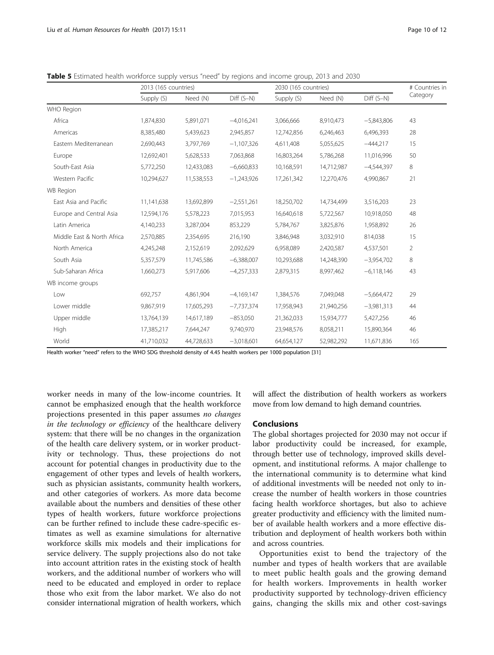|                            | 2013 (165 countries) |            |              |            | 2030 (165 countries) |              |          |  |
|----------------------------|----------------------|------------|--------------|------------|----------------------|--------------|----------|--|
|                            | Supply (S)           | Need (N)   | $Diff(S-N)$  | Supply (S) | Need (N)             | $Diff(S-N)$  | Category |  |
| WHO Region                 |                      |            |              |            |                      |              |          |  |
| Africa                     | 1,874,830            | 5,891,071  | $-4,016,241$ | 3,066,666  | 8,910,473            | $-5,843,806$ | 43       |  |
| Americas                   | 8,385,480            | 5,439,623  | 2,945,857    | 12,742,856 | 6,246,463            | 6,496,393    | 28       |  |
| Eastern Mediterranean      | 2,690,443            | 3,797,769  | $-1,107,326$ | 4,611,408  | 5,055,625            | $-444,217$   | 15       |  |
| Europe                     | 12,692,401           | 5,628,533  | 7,063,868    | 16,803,264 | 5,786,268            | 11,016,996   | 50       |  |
| South-East Asia            | 5,772,250            | 12,433,083 | $-6,660,833$ | 10,168,591 | 14,712,987           | $-4,544,397$ | 8        |  |
| Western Pacific            | 10,294,627           | 11,538,553 | $-1,243,926$ | 17,261,342 | 12,270,476           | 4,990,867    | 21       |  |
| WB Region                  |                      |            |              |            |                      |              |          |  |
| East Asia and Pacific      | 11,141,638           | 13,692,899 | $-2,551,261$ | 18,250,702 | 14,734,499           | 3,516,203    | 23       |  |
| Europe and Central Asia    | 12,594,176           | 5,578,223  | 7,015,953    | 16,640,618 | 5,722,567            | 10,918,050   | 48       |  |
| Latin America              | 4,140,233            | 3,287,004  | 853,229      | 5,784,767  | 3,825,876            | 1,958,892    | 26       |  |
| Middle East & North Africa | 2,570,885            | 2,354,695  | 216,190      | 3,846,948  | 3,032,910            | 814,038      | 15       |  |
| North America              | 4,245,248            | 2,152,619  | 2,092,629    | 6,958,089  | 2,420,587            | 4,537,501    | 2        |  |
| South Asia                 | 5,357,579            | 11,745,586 | $-6,388,007$ | 10,293,688 | 14,248,390           | $-3,954,702$ | 8        |  |
| Sub-Saharan Africa         | 1,660,273            | 5,917,606  | $-4,257,333$ | 2,879,315  | 8,997,462            | $-6,118,146$ | 43       |  |
| WB income groups           |                      |            |              |            |                      |              |          |  |
| Low                        | 692,757              | 4,861,904  | $-4,169,147$ | 1,384,576  | 7,049,048            | $-5,664,472$ | 29       |  |
| Lower middle               | 9,867,919            | 17,605,293 | $-7,737,374$ | 17,958,943 | 21,940,256           | $-3,981,313$ | 44       |  |
| Upper middle               | 13,764,139           | 14,617,189 | $-853,050$   | 21,362,033 | 15,934,777           | 5,427,256    | 46       |  |
| High                       | 17,385,217           | 7,644,247  | 9,740,970    | 23,948,576 | 8,058,211            | 15,890,364   | 46       |  |
| World                      | 41,710,032           | 44,728,633 | $-3,018,601$ | 64,654,127 | 52,982,292           | 11,671,836   | 165      |  |

<span id="page-9-0"></span>Table 5 Estimated health workforce supply versus "need" by regions and income group, 2013 and 2030

Health worker "need" refers to the WHO SDG threshold density of 4.45 health workers per 1000 population [[31\]](#page-11-0)

worker needs in many of the low-income countries. It cannot be emphasized enough that the health workforce projections presented in this paper assumes no changes in the technology or efficiency of the healthcare delivery system: that there will be no changes in the organization of the health care delivery system, or in worker productivity or technology. Thus, these projections do not account for potential changes in productivity due to the engagement of other types and levels of health workers, such as physician assistants, community health workers, and other categories of workers. As more data become available about the numbers and densities of these other types of health workers, future workforce projections can be further refined to include these cadre-specific estimates as well as examine simulations for alternative workforce skills mix models and their implications for service delivery. The supply projections also do not take into account attrition rates in the existing stock of health workers, and the additional number of workers who will need to be educated and employed in order to replace those who exit from the labor market. We also do not consider international migration of health workers, which

will affect the distribution of health workers as workers move from low demand to high demand countries.

## Conclusions

The global shortages projected for 2030 may not occur if labor productivity could be increased, for example, through better use of technology, improved skills development, and institutional reforms. A major challenge to the international community is to determine what kind of additional investments will be needed not only to increase the number of health workers in those countries facing health workforce shortages, but also to achieve greater productivity and efficiency with the limited number of available health workers and a more effective distribution and deployment of health workers both within and across countries.

Opportunities exist to bend the trajectory of the number and types of health workers that are available to meet public health goals and the growing demand for health workers. Improvements in health worker productivity supported by technology-driven efficiency gains, changing the skills mix and other cost-savings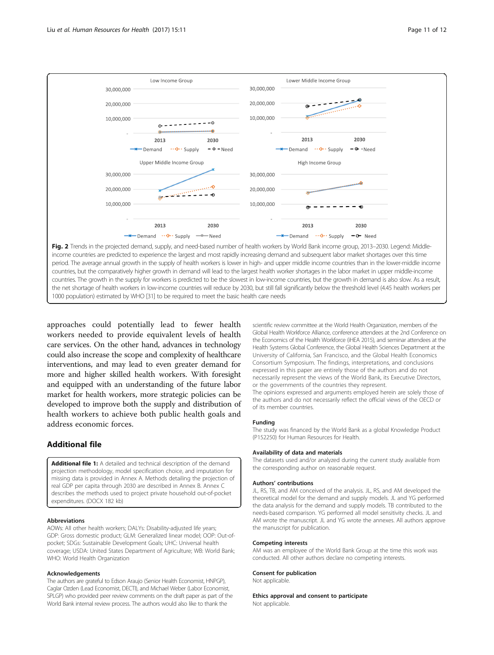<span id="page-10-0"></span>

Fig. 2 Trends in the projected demand, supply, and need-based number of health workers by World Bank income group, 2013–2030. Legend: Middleincome countries are predicted to experience the largest and most rapidly increasing demand and subsequent labor market shortages over this time period. The average annual growth in the supply of health workers is lower in high- and upper middle income countries than in the lower-middle income countries, but the comparatively higher growth in demand will lead to the largest health worker shortages in the labor market in upper middle-income countries. The growth in the supply for workers is predicted to be the slowest in low-income countries, but the growth in demand is also slow. As a result, the net shortage of health workers in low-income countries will reduce by 2030, but still fall significantly below the threshold level (4.45 health workers per 1000 population) estimated by WHO [\[31](#page-11-0)] to be required to meet the basic health care needs

approaches could potentially lead to fewer health workers needed to provide equivalent levels of health care services. On the other hand, advances in technology could also increase the scope and complexity of healthcare interventions, and may lead to even greater demand for more and higher skilled health workers. With foresight and equipped with an understanding of the future labor market for health workers, more strategic policies can be developed to improve both the supply and distribution of health workers to achieve both public health goals and address economic forces.

## Additional file

[Additional file 1:](dx.doi.org/10.1186/s12960-017-0187-2) A detailed and technical description of the demand projection methodology, model specification choice, and imputation for missing data is provided in Annex A. Methods detailing the projection of real GDP per capita through 2030 are described in Annex B. Annex C describes the methods used to project private household out-of-pocket expenditures. (DOCX 182 kb)

#### Abbreviations

AOWs: All other health workers; DALYs: Disability-adjusted life years; GDP: Gross domestic product; GLM: Generalized linear model; OOP: Out-ofpocket; SDGs: Sustainable Development Goals; UHC: Universal health coverage; USDA: United States Department of Agriculture; WB: World Bank; WHO: World Health Organization

#### Acknowledgements

The authors are grateful to Edson Araujo (Senior Health Economist, HNPGP), Caglar Ozden (Lead Economist, DECTI), and Michael Weber (Labor Economist, SPLGP) who provided peer review comments on the draft paper as part of the World Bank internal review process. The authors would also like to thank the

scientific review committee at the World Health Organization, members of the Global Health Workforce Alliance, conference attendees at the 2nd Conference on the Economics of the Health Workforce (iHEA 2015), and seminar attendees at the Health Systems Global Conference, the Global Health Sciences Department at the University of California, San Francisco, and the Global Health Economics Consortium Symposium. The findings, interpretations, and conclusions expressed in this paper are entirely those of the authors and do not necessarily represent the views of the World Bank, its Executive Directors, or the governments of the countries they represent. The opinions expressed and arguments employed herein are solely those of the authors and do not necessarily reflect the official views of the OECD or of its member countries.

#### Funding

The study was financed by the World Bank as a global Knowledge Product (P152250) for Human Resources for Health.

#### Availability of data and materials

The datasets used and/or analyzed during the current study available from the corresponding author on reasonable request.

#### Authors' contributions

JL, RS, TB, and AM conceived of the analysis. JL, RS, and AM developed the theoretical model for the demand and supply models. JL and YG performed the data analysis for the demand and supply models. TB contributed to the needs-based comparison. YG performed all model sensitivity checks. JL and AM wrote the manuscript. JL and YG wrote the annexes. All authors approve the manuscript for publication.

#### Competing interests

AM was an employee of the World Bank Group at the time this work was conducted. All other authors declare no competing interests.

#### Consent for publication

Not applicable.

#### Ethics approval and consent to participate Not applicable.